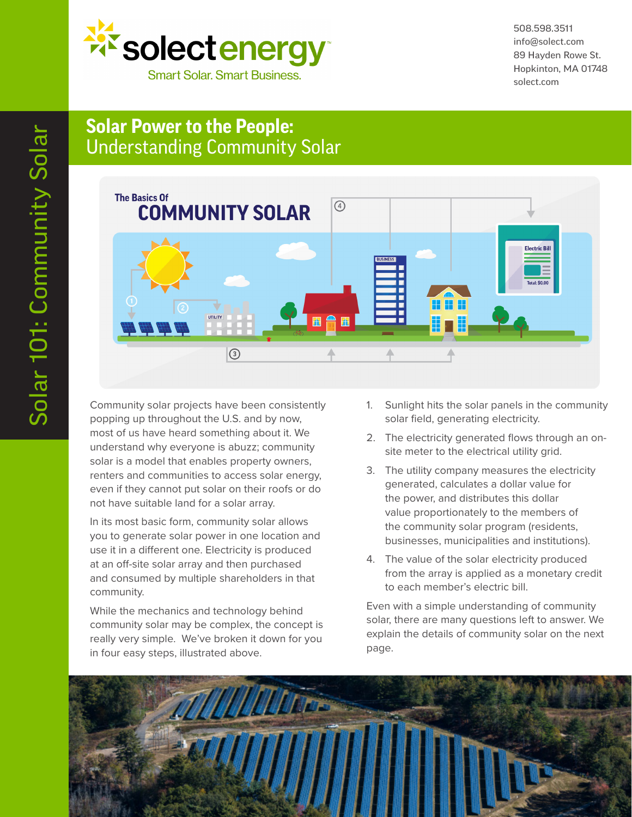

508.598.3511 info@solect.com 89 Hayden Rowe St. Hopkinton, MA 01748 solect.com

# **Solar Power to the People:**  Understanding Community Solar



Community solar projects have been consistently popping up throughout the U.S. and by now, most of us have heard something about it. We understand why everyone is abuzz; community solar is a model that enables property owners, renters and communities to access solar energy, even if they cannot put solar on their roofs or do not have suitable land for a solar array.

In its most basic form, community solar allows you to generate solar power in one location and use it in a different one. Electricity is produced at an off-site solar array and then purchased and consumed by multiple shareholders in that community.

While the mechanics and technology behind community solar may be complex, the concept is really very simple. We've broken it down for you in four easy steps, illustrated above.

- 1. Sunlight hits the solar panels in the community solar field, generating electricity.
- 2. The electricity generated flows through an onsite meter to the electrical utility grid.
- 3. The utility company measures the electricity generated, calculates a dollar value for the power, and distributes this dollar value proportionately to the members of the community solar program (residents, businesses, municipalities and institutions).
- 4. The value of the solar electricity produced from the array is applied as a monetary credit to each member's electric bill.

Even with a simple understanding of community solar, there are many questions left to answer. We explain the details of community solar on the next page.